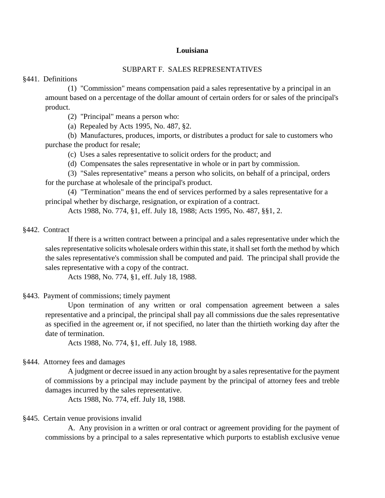# **Louisiana**

# SUBPART F. SALES REPRESENTATIVES

§441. Definitions

(1) "Commission" means compensation paid a sales representative by a principal in an amount based on a percentage of the dollar amount of certain orders for or sales of the principal's product.

(2) "Principal" means a person who:

(a) Repealed by Acts 1995, No. 487, §2.

(b) Manufactures, produces, imports, or distributes a product for sale to customers who purchase the product for resale;

(c) Uses a sales representative to solicit orders for the product; and

(d) Compensates the sales representative in whole or in part by commission.

(3) "Sales representative" means a person who solicits, on behalf of a principal, orders for the purchase at wholesale of the principal's product.

(4) "Termination" means the end of services performed by a sales representative for a principal whether by discharge, resignation, or expiration of a contract.

Acts 1988, No. 774, §1, eff. July 18, 1988; Acts 1995, No. 487, §§1, 2.

#### §442. Contract

If there is a written contract between a principal and a sales representative under which the sales representative solicits wholesale orders within this state, it shall set forth the method by which the sales representative's commission shall be computed and paid. The principal shall provide the sales representative with a copy of the contract.

Acts 1988, No. 774, §1, eff. July 18, 1988.

## §443. Payment of commissions; timely payment

Upon termination of any written or oral compensation agreement between a sales representative and a principal, the principal shall pay all commissions due the sales representative as specified in the agreement or, if not specified, no later than the thirtieth working day after the date of termination.

Acts 1988, No. 774, §1, eff. July 18, 1988.

## §444. Attorney fees and damages

A judgment or decree issued in any action brought by a sales representative for the payment of commissions by a principal may include payment by the principal of attorney fees and treble damages incurred by the sales representative.

Acts 1988, No. 774, eff. July 18, 1988.

# §445. Certain venue provisions invalid

A. Any provision in a written or oral contract or agreement providing for the payment of commissions by a principal to a sales representative which purports to establish exclusive venue